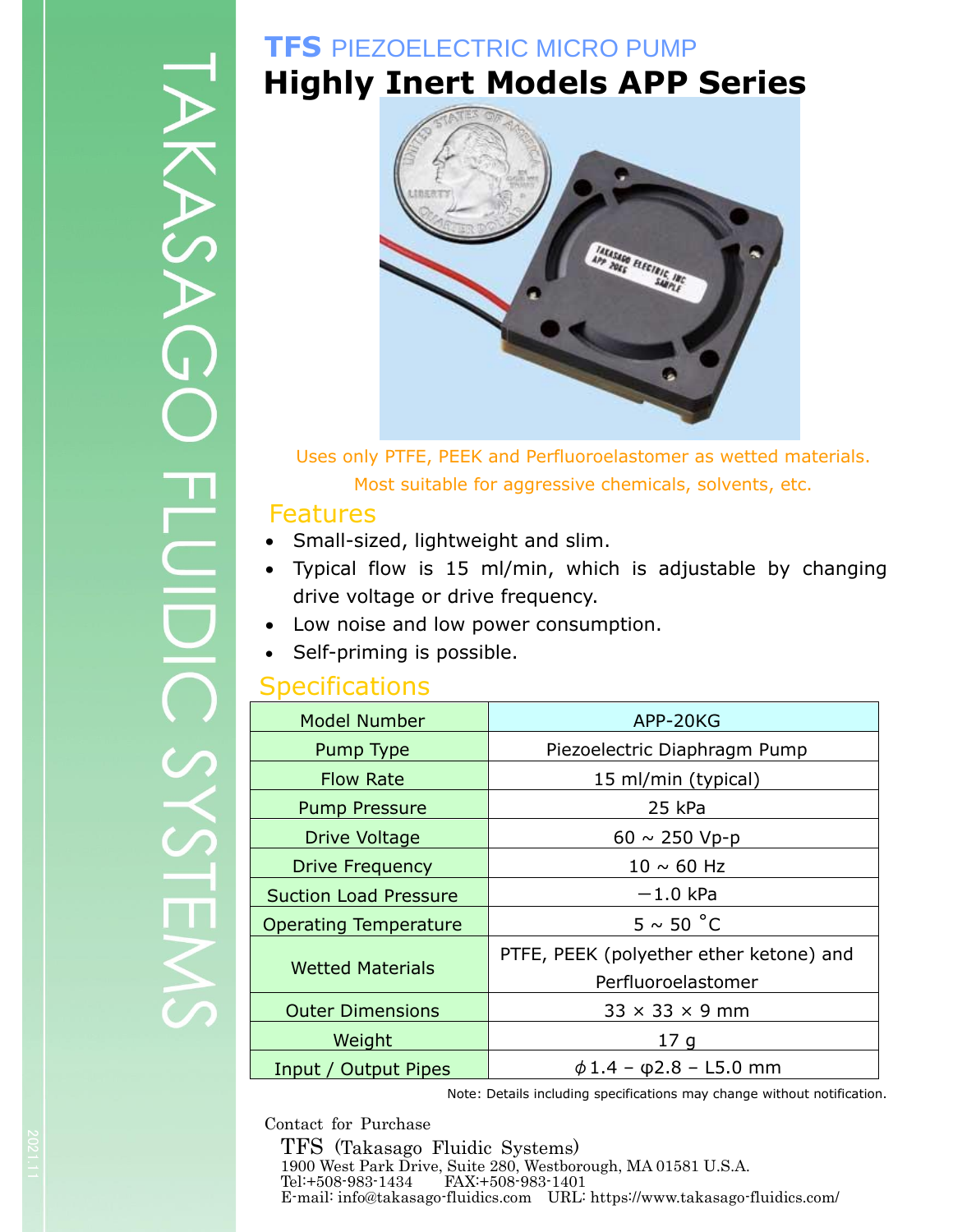# KANGAGI

# **TFS** PIEZOELECTRIC MICRO PUMP **Highly Inert Models APP Series**



Uses only PTFE, PEEK and Perfluoroelastomer as wetted materials. Most suitable for aggressive chemicals, solvents, etc.

### Features

- Small-sized, lightweight and slim.
- Typical flow is 15 ml/min, which is adjustable by changing drive voltage or drive frequency.
- Low noise and low power consumption.
- Self-priming is possible.

## **Specifications**

| <b>Model Number</b>          | APP-20KG                                                      |  |
|------------------------------|---------------------------------------------------------------|--|
| Pump Type                    | Piezoelectric Diaphragm Pump                                  |  |
| <b>Flow Rate</b>             | 15 ml/min (typical)                                           |  |
| <b>Pump Pressure</b>         | 25 kPa                                                        |  |
| Drive Voltage                | 60 $\sim$ 250 Vp-p                                            |  |
| <b>Drive Frequency</b>       | $10 \sim 60$ Hz                                               |  |
| <b>Suction Load Pressure</b> | $-1.0$ kPa                                                    |  |
| <b>Operating Temperature</b> | $5 \sim 50 °C$                                                |  |
| <b>Wetted Materials</b>      | PTFE, PEEK (polyether ether ketone) and<br>Perfluoroelastomer |  |
| <b>Outer Dimensions</b>      | $33 \times 33 \times 9$ mm                                    |  |
| Weight                       | 17 <sub>q</sub>                                               |  |
| Input / Output Pipes         | $\phi$ 1.4 - $\phi$ 2.8 - L5.0 mm                             |  |

Note: Details including specifications may change without notification.

Contact for Purchase

TFS (Takasago Fluidic Systems) 1900 West Park Drive, Suite 280, Westborough, MA 01581 U.S.A. Tel:+508-983-1434 FAX:+508-983-1401<br>E-mail: info@takasago-fluidics.com URL: https://www.takasago-fluidics.com/  $\begin{array}{r} \text{PES} \text{ (Takasago Fluidic Systems)} \ \text{1900 West Park Drive, Suite 280, Westborough, MA 01581 U.S.A.} \ \text{Tel++508-983-1434} \quad \text{FAX++508-983-1401} \ \text{E-mail: info@takasago-fluidics.com} \end{array}$  $\begin{array}{r} \text{PES} \text{ (Takasago Fluidic Systems)} \ \text{1900 West Park Drive, Suite 280, Westborough, MA 01581 U.S.A.} \ \text{Tel++508-983-1434} \quad \text{FAX++508-983-1401} \ \text{E-mail: info@takasago-fluidics.com} \end{array}$  $\begin{array}{r} \text{PES} \text{ (Takasago Fluidic Systems)} \ \text{1900 West Park Drive, Suite 280, Westborough, MA 01581 U.S.A.} \ \text{Tel++508-983-1434} \quad \text{FAX++508-983-1401} \ \text{E-mail: info@takasago-fluidics.com} \end{array}$